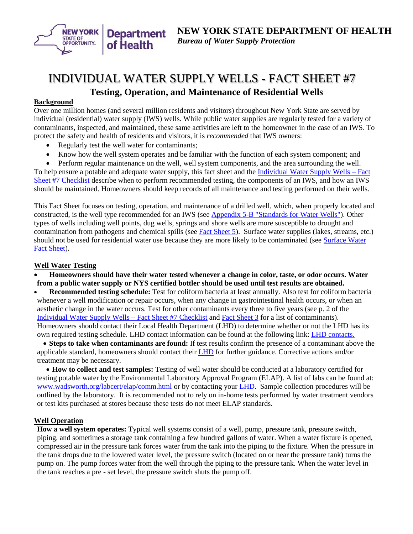<span id="page-0-0"></span>

# INDIVIDUAL WATER SUPPLY WELLS - FACT SHEET #7 **Testing, Operation, and Maintenance of Residential Wells**

## **Background**

Over one million homes (and several million residents and visitors) throughout New York State are served by individual (residential) water supply (IWS) wells. While public water supplies are regularly tested for a variety of contaminants, inspected, and maintained, these same activities are left to the homeowner in the case of an IWS. To protect the safety and health of residents and visitors, it is *recommended* that IWS owners:

- Regularly test the well water for contaminants;
- Know how the well system operates and be familiar with the function of each system component; and

• Perform regular maintenance on the well, well system components, and the area surrounding the well. To help ensure a potable and adequate water supply, this fact sheet and the [Individual Water Supply Wells –](#page-2-0) Fact [Sheet #7 Checklist](http://www.health.ny.gov/environmental/water/drinking/regulations/fact_sheets/fs7_testing_operation_maintenance_checklist.htm) describe when to perform recommended testing, the components of an IWS, and how an IWS should be maintained. Homeowners should keep records of all maintenance and testing performed on their wells.

This Fact Sheet focuses on testing, operation, and maintenance of a drilled well, which, when properly located and constructed, is the well type recommended for an IWS (see [Appendix 5-B "Standards for Water Wells"\)](http://www.health.ny.gov/regulations/nycrr/title_10/part_5/appendix_5b.htm). Other types of wells including well points, dug wells, springs and shore wells are more susceptible to drought and contamination from pathogens and chemical spills (see [Fact Sheet 5\)](http://www.health.ny.gov/environmental/water/drinking/regulations/fact_sheets/fs5_susceptible_water_sources.htm). Surface water supplies (lakes, streams, etc.) should not be used for residential water use because they are more likely to be contaminated (see [Surface Water](http://www.health.ny.gov/environmental/water/drinking/surface_water_fact_sheet.htm)  [Fact Sheet\)](http://www.health.ny.gov/environmental/water/drinking/surface_water_fact_sheet.htm).

#### **Well Water Testing**

• **Homeowners should have their water tested whenever a change in color, taste, or odor occurs. Water from a public water supply or NYS certified bottler should be used until test results are obtained.**

• **Recommended testing schedule:** Test for coliform bacteria at least annually. Also test for coliform bacteria whenever a well modification or repair occurs, when any change in gastrointestinal health occurs, or when an aesthetic change in the water occurs. Test for other contaminants every three to five years (see p. 2 of the [Individual Water Supply Wells –](#page-2-0) Fact Sheet #7 Checklist an[d Fact Sheet 3](http://www.health.ny.gov/environmental/water/drinking/regulations/fact_sheets/fs3_water_quality.htm) for a list of contaminants). Homeowners should contact their Local Health Department (LHD) to determine whether or not the LHD has its own required testing schedule. LHD contact information can be found at the following link: [LHD contacts.](http://www.health.ny.gov/environmental/water/drinking/doh_pub_contacts_map.htm)

• **Steps to take when contaminants are found:** If test results confirm the presence of a contaminant above the applicable standard, homeowners should contact their [LHD](http://www.health.ny.gov/environmental/water/drinking/doh_pub_contacts_map.htm) for further guidance. Corrective actions and/or treatment may be necessary.

• **How to collect and test samples:** Testing of well water should be conducted at a laboratory certified for testing potable water by the Environmental Laboratory Approval Program (ELAP). A list of labs can be found at: [www.wadsworth.org/labcert/elap/comm.html](http://www.wadsworth.org/labcert/elap/comm.html) or by contacting your [LHD.](http://www.health.ny.gov/environmental/water/drinking/doh_pub_contacts_map.htm) Sample collection procedures will be outlined by the laboratory. It is recommended not to rely on in-home tests performed by water treatment vendors or test kits purchased at stores because these tests do not meet ELAP standards.

#### **Well Operation**

**How a well system operates:** Typical well systems consist of a well, pump, pressure tank, pressure switch, piping, and sometimes a storage tank containing a few hundred gallons of water. When a water fixture is opened, compressed air in the pressure tank forces water from the tank into the piping to the fixture. When the pressure in the tank drops due to the lowered water level, the pressure switch (located on or near the pressure tank) turns the pump on. The pump forces water from the well through the piping to the pressure tank. When the water level in the tank reaches a pre - set level, the pressure switch shuts the pump off.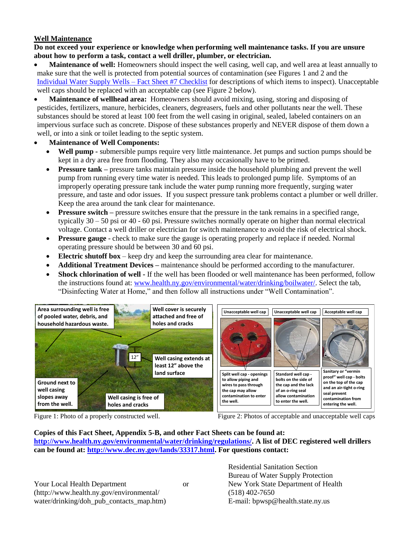# **Well Maintenance**

**Do not exceed your experience or knowledge when performing well maintenance tasks. If you are unsure about how to perform a task, contact a well driller, plumber, or electrician.**

• **Maintenance of well:** Homeowners should inspect the well casing, well cap, and well area at least annually to make sure that the well is protected from potential sources of contamination (see Figures 1 and 2 and the [Individual Water Supply Wells –](#page-2-0) Fact Sheet #7 Checklist for descriptions of which items to inspect). Unacceptable well caps should be replaced with an acceptable cap (see Figure 2 below).

• **Maintenance of wellhead area:** Homeowners should avoid mixing, using, storing and disposing of pesticides, fertilizers, manure, herbicides, cleaners, degreasers, fuels and other pollutants near the well. These substances should be stored at least 100 feet from the well casing in original, sealed, labeled containers on an impervious surface such as concrete. Dispose of these substances properly and NEVER dispose of them down a well, or into a sink or toilet leading to the septic system.

# • **Maintenance of Well Components:**

- **Well pump** submersible pumps require very little maintenance. Jet pumps and suction pumps should be kept in a dry area free from flooding. They also may occasionally have to be primed.
- **Pressure tank** pressure tanks maintain pressure inside the household plumbing and prevent the well pump from running every time water is needed. This leads to prolonged pump life. Symptoms of an improperly operating pressure tank include the water pump running more frequently, surging water pressure, and taste and odor issues. If you suspect pressure tank problems contact a plumber or well driller. Keep the area around the tank clear for maintenance.
- **Pressure switch** pressure switches ensure that the pressure in the tank remains in a specified range, typically 30 – 50 psi or 40 - 60 psi. Pressure switches normally operate on higher than normal electrical voltage. Contact a well driller or electrician for switch maintenance to avoid the risk of electrical shock.
- **Pressure gauge** check to make sure the gauge is operating properly and replace if needed. Normal operating pressure should be between 30 and 60 psi.
- **Electric shutoff box** keep dry and keep the surrounding area clear for maintenance.
- **Additional Treatment Devices –** maintenance should be performed according to the manufacturer.
- **Shock chlorination of well -** If the well has been flooded or well maintenance has been performed, follow the instructions found at: [www.health.ny.gov/environmental/water/drinking/boilwater/.](http://www.health.ny.gov/environmental/water/drinking/boilwater/) Select the tab, "Disinfecting Water at Home," and then follow all instructions under "Well Contamination".



Figure 1: Photo of a properly constructed well. Figure 2: Photos of acceptable and unacceptable well caps

## **Copies of this Fact Sheet, Appendix 5-B, and other Fact Sheets can be found at: [http://www.health.ny.gov/environmental/water/drinking/regulations/.](http://www.health.ny.gov/environmental/water/drinking/regulations/) A list of DEC registered well drillers can be found at: [http://www.dec.ny.gov/lands/33317.html.](http://www.dec.ny.gov/lands/33317.html) For questions contact:**

Your Local Health Department or New York State Department of Health (http://www.health.ny.gov/environmental/ (518) 402-7650 water/drinking/doh\_pub\_contacts\_map.htm) E-mail: bpwsp@health.state.ny.us

Residential Sanitation Section Bureau of Water Supply Protection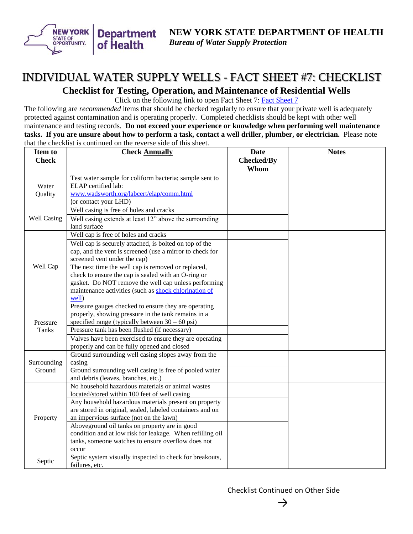<span id="page-2-0"></span>

# INDIVIDUAL WATER SUPPLY WELLS - FACT SHEET #7: CHECKLIST **Checklist for Testing, Operation, and Maintenance of Residential Wells**

Click on the following link to open Fact Sheet 7: [Fact Sheet 7](#page-0-0)

The following are *recommended* items that should be checked regularly to ensure that your private well is adequately protected against contamination and is operating properly. Completed checklists should be kept with other well maintenance and testing records. **Do not exceed your experience or knowledge when performing well maintenance tasks. If you are unsure about how to perform a task, contact a well driller, plumber, or electrician.** Please note that the checklist is continued on the reverse side of this sheet.

| Item to               | <b>Check Annually</b>                                                                              | <b>Date</b>       | <b>Notes</b> |
|-----------------------|----------------------------------------------------------------------------------------------------|-------------------|--------------|
| <b>Check</b>          |                                                                                                    | <b>Checked/By</b> |              |
|                       |                                                                                                    | Whom              |              |
| Water<br>Quality      | Test water sample for coliform bacteria; sample sent to                                            |                   |              |
|                       | ELAP certified lab:                                                                                |                   |              |
|                       | www.wadsworth.org/labcert/elap/comm.html                                                           |                   |              |
|                       | (or contact your LHD)                                                                              |                   |              |
| Well Casing           | Well casing is free of holes and cracks                                                            |                   |              |
|                       | Well casing extends at least 12" above the surrounding                                             |                   |              |
|                       | land surface                                                                                       |                   |              |
|                       | Well cap is free of holes and cracks                                                               |                   |              |
|                       | Well cap is securely attached, is bolted on top of the                                             |                   |              |
|                       | cap, and the vent is screened (use a mirror to check for                                           |                   |              |
|                       | screened vent under the cap)                                                                       |                   |              |
| Well Cap              | The next time the well cap is removed or replaced,                                                 |                   |              |
|                       | check to ensure the cap is sealed with an O-ring or                                                |                   |              |
|                       | gasket. Do NOT remove the well cap unless performing                                               |                   |              |
|                       | maintenance activities (such as shock chlorination of                                              |                   |              |
|                       | well)                                                                                              |                   |              |
|                       | Pressure gauges checked to ensure they are operating                                               |                   |              |
| Pressure              | properly, showing pressure in the tank remains in a                                                |                   |              |
|                       | specified range (typically between $30 - 60$ psi)<br>Pressure tank has been flushed (if necessary) |                   |              |
| Tanks                 |                                                                                                    |                   |              |
|                       | Valves have been exercised to ensure they are operating                                            |                   |              |
|                       | properly and can be fully opened and closed<br>Ground surrounding well casing slopes away from the |                   |              |
| Surrounding<br>Ground | casing                                                                                             |                   |              |
|                       | Ground surrounding well casing is free of pooled water                                             |                   |              |
|                       | and debris (leaves, branches, etc.)                                                                |                   |              |
| Property              | No household hazardous materials or animal wastes                                                  |                   |              |
|                       | located/stored within 100 feet of well casing                                                      |                   |              |
|                       | Any household hazardous materials present on property                                              |                   |              |
|                       | are stored in original, sealed, labeled containers and on                                          |                   |              |
|                       | an impervious surface (not on the lawn)                                                            |                   |              |
|                       | Aboveground oil tanks on property are in good                                                      |                   |              |
|                       | condition and at low risk for leakage. When refilling oil                                          |                   |              |
|                       | tanks, someone watches to ensure overflow does not                                                 |                   |              |
|                       | occur                                                                                              |                   |              |
| Septic                | Septic system visually inspected to check for breakouts,                                           |                   |              |
|                       | failures, etc.                                                                                     |                   |              |

Checklist Continued on Other Side